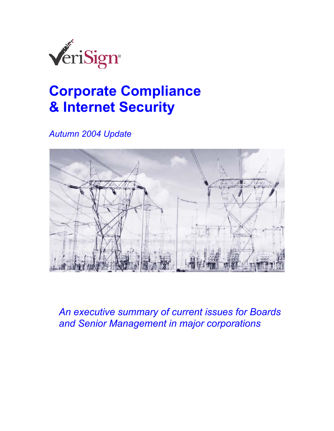

# **Corporate Compliance & Internet Security**

*Autumn 2004 Update* 



*An executive summary of current issues for Boards and Senior Management in major corporations*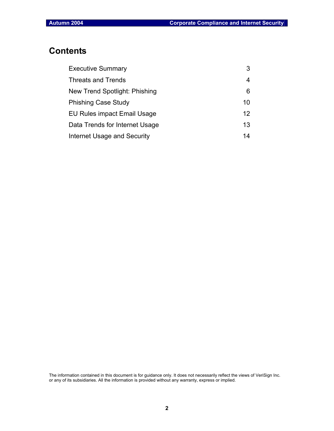# **Contents**

| <b>Executive Summary</b>       | 3               |
|--------------------------------|-----------------|
| Threats and Trends             | 4               |
| New Trend Spotlight: Phishing  | 6               |
| <b>Phishing Case Study</b>     | 10              |
| EU Rules impact Email Usage    | 12 <sup>°</sup> |
| Data Trends for Internet Usage | 13              |
| Internet Usage and Security    | 14              |

The information contained in this document is for guidance only. It does not necessarily reflect the views of VeriSign Inc. or any of its subsidiaries. All the information is provided without any warranty, express or implied.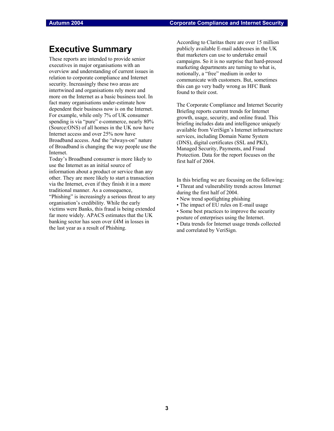### **Executive Summary**

These reports are intended to provide senior executives in major organisations with an overview and understanding of current issues in relation to corporate compliance and Internet security. Increasingly these two areas are intertwined and organisations rely more and more on the Internet as a basic business tool. In fact many organisations under-estimate how dependent their business now is on the Internet. For example, while only 7% of UK consumer spending is via "pure" e-commerce, nearly 80% (Source:ONS) of all homes in the UK now have Internet access and over 25% now have Broadband access. And the "always-on" nature of Broadband is changing the way people use the Internet.

Today's Broadband consumer is more likely to use the Internet as an initial source of information about a product or service than any other. They are more likely to start a transaction via the Internet, even if they finish it in a more traditional manner. As a consequence, "Phishing" is increasingly a serious threat to any organisation's credibility. While the early victims were Banks, this fraud is being extended far more widely. APACS estimates that the UK banking sector has seen over £4M in losses in the last year as a result of Phishing.

According to Claritas there are over 15 million publicly available E-mail addresses in the UK that marketers can use to undertake email campaigns. So it is no surprise that hard-pressed marketing departments are turning to what is, notionally, a "free" medium in order to communicate with customers. But, sometimes this can go very badly wrong as HFC Bank found to their cost.

The Corporate Compliance and Internet Security Briefing reports current trends for Internet growth, usage, security, and online fraud. This briefing includes data and intelligence uniquely available from VeriSign's Internet infrastructure services, including Domain Name System (DNS), digital certificates (SSL and PKI), Managed Security, Payments, and Fraud Protection. Data for the report focuses on the first half of 2004.

In this briefing we are focusing on the following: • Threat and vulnerability trends across Internet during the first half of 2004.

- New trend spotlighting phishing
- The impact of EU rules on E-mail usage
- Some best practices to improve the security
- posture of enterprises using the Internet.
- Data trends for Internet usage trends collected and correlated by VeriSign.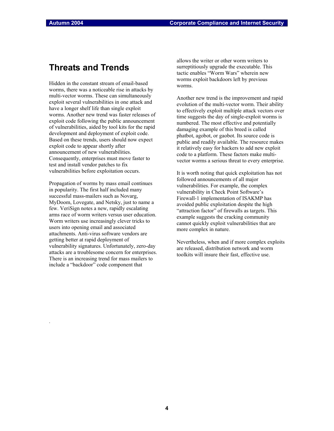### **Threats and Trends**

Hidden in the constant stream of email-based worms, there was a noticeable rise in attacks by multi-vector worms. These can simultaneously exploit several vulnerabilities in one attack and have a longer shelf life than single exploit worms. Another new trend was faster releases of exploit code following the public announcement of vulnerabilities, aided by tool kits for the rapid development and deployment of exploit code. Based on these trends, users should now expect exploit code to appear shortly after announcement of new vulnerabilities. Consequently, enterprises must move faster to test and install vendor patches to fix vulnerabilities before exploitation occurs.

Propagation of worms by mass email continues in popularity. The first half included many successful mass-mailers such as Novarg, MyDoom, Lovegate, and Netsky, just to name a few. VeriSign notes a new, rapidly escalating arms race of worm writers versus user education. Worm writers use increasingly clever tricks to users into opening email and associated attachments. Anti-virus software vendors are getting better at rapid deployment of vulnerability signatures. Unfortunately, zero-day attacks are a troublesome concern for enterprises. There is an increasing trend for mass mailers to include a "backdoor" code component that

.

allows the writer or other worm writers to surreptitiously upgrade the executable. This tactic enables "Worm Wars" wherein new worms exploit backdoors left by previous worms.

Another new trend is the improvement and rapid evolution of the multi-vector worm. Their ability to effectively exploit multiple attack vectors over time suggests the day of single-exploit worms is numbered. The most effective and potentially damaging example of this breed is called phatbot, agobot, or gaobot. Its source code is public and readily available. The resource makes it relatively easy for hackers to add new exploit code to a platform. These factors make multivector worms a serious threat to every enterprise.

It is worth noting that quick exploitation has not followed announcements of all major vulnerabilities. For example, the complex vulnerability in Check Point Software's Firewall-1 implementation of ISAKMP has avoided public exploitation despite the high "attraction factor" of firewalls as targets. This example suggests the cracking community cannot quickly exploit vulnerabilities that are more complex in nature.

Nevertheless, when and if more complex exploits are released, distribution network and worm toolkits will insure their fast, effective use.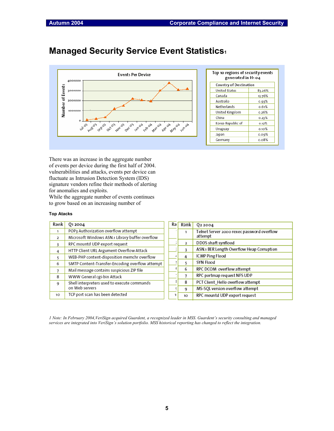$\Gamma$ 

## **Managed Security Service Event Statistics1**



| Top 10 regions of security events<br>generated in H1 04 |  |
|---------------------------------------------------------|--|
| Country of Destination                                  |  |

| <b>United States</b> | 83.26%   |
|----------------------|----------|
| Canada               | 13.76%   |
| Australia            | 0.93%    |
| Netherlands          | 0.61%    |
| United Kingdom       | 0.26%    |
| China                | 0.23%    |
| Korea Republic of    | 0.12%    |
| Uruguay              | $0.10\%$ |
| Japan                | 0.09%    |
| Germany              | 0.08%    |

There was an increase in the aggregate number of events per device during the first half of 2004. vulnerabilities and attacks, events per device can fluctuate as Intrusion Detection System (IDS) signature vendors refine their methods of alerting for anomalies and exploits.

While the aggregate number of events continues to grow based on an increasing number of

#### **Top Atacks**

| Rank           | 012004                                          | Ra | Rank | 022004                                     |
|----------------|-------------------------------------------------|----|------|--------------------------------------------|
| 1              | POP3 Authorization overflow attempt             |    |      | Telnet Server 2000 rexec password overflow |
| $\overline{2}$ | Microsoft Windows ASN.1 Library buffer overflow |    |      | attempt                                    |
| 3              | RPC mountd UDP export request                   |    | 2    | DD0S shaft synflood                        |
| 4              | HTTP Client URL Argument Overflow Attack        |    |      | ASN.1 BER Length Overflow Heap Corruption  |
| 5              | WEB-PHP content-disposition memchr overflow     |    | 4    | ICMP Ping Flood                            |
| 6              | SMTP Content-Transfer-Encoding overflow attempt |    |      | SYN Flood                                  |
|                | Mail message contains suspicious ZIP file       |    | 6    | RPC DCOM overflow attempt                  |
| 8              | WWW General cgi-bin Attack                      |    |      | RPC portmap request NFS UDP                |
| q              | Shell interpreters used to execute commands     |    | 8    | PCT Client Hello overflow attempt          |
|                | on Web servers                                  |    | 9    | MS-SQL version overflow attempt            |
| 10             | TCP port scan has been detected                 | 1( | 10   | RPC mountd UDP export request              |

*1 Note: In February 2004,VeriSign acquired Guardent, a recognized leader in MSS. Guardent's security consulting and managed services are integrated into VeriSign's solution portfolio. MSS historical reporting has changed to reflect the integration.*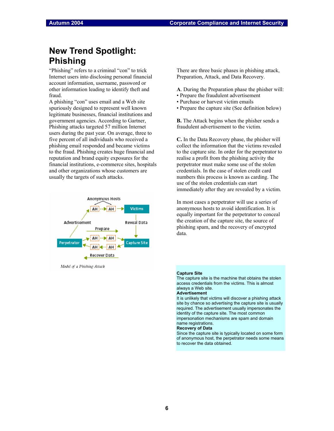# **New Trend Spotlight: Phishing**

"Phishing" refers to a criminal "con" to trick Internet users into disclosing personal financial account information, username, password or other information leading to identify theft and fraud.

A phishing "con" uses email and a Web site spuriously designed to represent well known legitimate businesses, financial institutions and government agencies. According to Gartner, Phishing attacks targeted 57 million Internet users during the past year. On average, three to five percent of all individuals who received a phishing email responded and became victims to the fraud. Phishing creates huge financial and reputation and brand equity exposures for the financial institutions, e-commerce sites, hospitals and other organizations whose customers are usually the targets of such attacks.



Model of a Phishing Attack

There are three basic phases in phishing attack, Preparation, Attack, and Data Recovery.

- **A**. During the Preparation phase the phisher will:
- Prepare the fraudulent advertisement
- Purchase or harvest victim emails
- Prepare the capture site (See definition below)

**B.** The Attack begins when the phisher sends a fraudulent advertisement to the victim.

**C.** In the Data Recovery phase, the phisher will collect the information that the victims revealed to the capture site. In order for the perpetrator to realise a profit from the phishing activity the perpetrator must make some use of the stolen credentials. In the case of stolen credit card numbers this process is known as carding. The use of the stolen credentials can start immediately after they are revealed by a victim.

In most cases a perpetrator will use a series of anonymous hosts to avoid identification. It is equally important for the perpetrator to conceal the creation of the capture site, the source of phishing spam, and the recovery of encrypted data.

#### **Capture Site**

The capture site is the machine that obtains the stolen access credentials from the victims. This is almost always a Web site. **Advertisement** 

It is unlikely that victims will discover a phishing attack site by chance so advertising the capture site is usually required. The advertisement usually impersonates the identity of the capture site. The most common impersonation mechanisms are spam and domain

### name registrations.

**Recovery of Data** 

Since the capture site is typically located on some form of anonymous host, the perpetrator needs some means to recover the data obtained.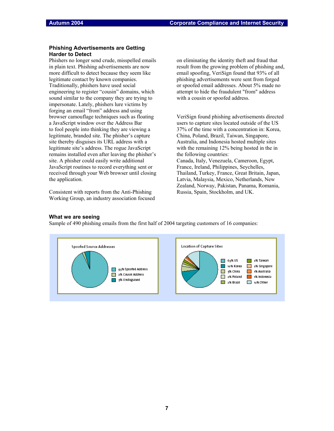### **Phishing Advertisements are Getting Harder to Detect**

Phishers no longer send crude, misspelled emails in plain text. Phishing advertisements are now more difficult to detect because they seem like legitimate contact by known companies. Traditionally, phishers have used social engineering to register "cousin" domains, which sound similar to the company they are trying to impersonate. Lately, phishers lure victims by forging an email "from" address and using browser camouflage techniques such as floating a JavaScript window over the Address Bar to fool people into thinking they are viewing a legitimate, branded site. The phisher's capture site thereby disguises its URL address with a legitimate site's address. The rogue JavaScript remains installed even after leaving the phisher's site. A phisher could easily write additional JavaScript routines to record everything sent or received through your Web browser until closing the application.

Consistent with reports from the Anti-Phishing Working Group, an industry association focused on eliminating the identity theft and fraud that result from the growing problem of phishing and, email spoofing, VeriSign found that 93% of all phishing advertisements were sent from forged or spoofed email addresses. About 5% made no attempt to hide the fraudulent "from" address with a cousin or spoofed address.

VeriSign found phishing advertisements directed users to capture sites located outside of the US 37% of the time with a concentration in: Korea, China, Poland, Brazil, Taiwan, Singapore, Australia, and Indonesia hosted multiple sites with the remaining 12% being hosted in the in the following countries: Canada, Italy, Venezuela, Cameroon, Egypt, France, Ireland, Philippines, Seychelles, Thailand, Turkey, France, Great Britain, Japan, Latvia, Malaysia, Mexico, Netherlands, New Zealand, Norway, Pakistan, Panama, Romania, Russia, Spain, Stockholm, and UK.

### **What we are seeing**

Sample of 490 phishing emails from the first half of 2004 targeting customers of 16 companies:

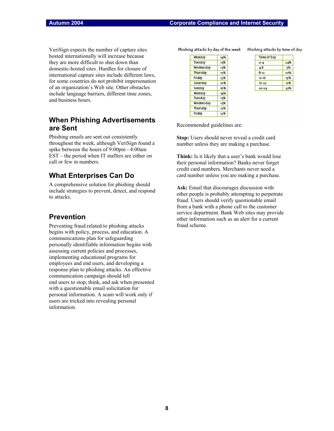VeriSign expects the number of capture sites hosted internationally will increase because they are more difficult to shut down than domestic-hosted sites. Hurdles for closure of international capture sites include different laws, for some countries do not prohibit impersonation of an organization's Web site. Other obstacles include language barriers, different time zones, and business hours.

### **When Phishing Advertisements are Sent**

Phishing emails are sent out consistently throughout the week, although VeriSign found a spike between the hours of 9:00pm - 4:00am EST – the period when IT staffers are either on call or few in numbers.

### **What Enterprises Can Do**

A comprehensive solution for phishing should include strategies to prevent, detect, and respond to attacks.

### **Prevention**

Preventing fraud related to phishing attacks begins with policy, process, and education. A communications plan for safeguarding personally identifiable information begins with assessing current policies and processes, implementing educational programs for employees and end users, and developing a response plan to phishing attacks. An effective communication campaign should tell end users to stop, think, and ask when presented with a questionable email solicitation for personal information. A scam will work only if users are tricked into revealing personal information.

Phishing attacks by day of the week Phishing attacks by time of day

| Monday    | 14% |
|-----------|-----|
| Tuesday   | 15% |
| Wednesday | 15% |
| Thursday  | 17% |
| Friday    | 13% |
| Saturday  | 10% |
| Sunday    | 16% |
| Monday    | 14% |
| Tuesday   | 15% |
| Wednesday | 15% |
| Thursday  | 17% |
| Friday    | 13% |

| Time of Day |     |
|-------------|-----|
| 04          | 24% |
| $4 - 8$     | 7%  |
| $8 - 12$    | 10% |
| 12-16       | 15% |
| $16 - 20$   | 12% |
| $20 - 24$   | 22% |

Recommended guidelines are:

**Stop:** Users should never reveal a credit card number unless they are making a purchase.

**Think:** Is it likely that a user's bank would lose their personal information? Banks never forget credit card numbers. Merchants never need a card number unless you are making a purchase.

**Ask:** Email that discourages discussion with other people is probably attempting to perpetrate fraud. Users should verify questionable email from a bank with a phone call to the customer service department. Bank Web sites may provide other information such as an alert for a current fraud scheme.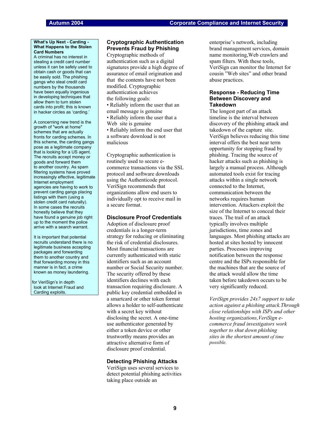#### **What's Up Next - Carding - What Happens to the Stolen Card Numbers**

A criminal has no interest in stealing a credit card number unless it can be safely used to obtain cash or goods that can be easily sold. The phishing gangs who steal credit card numbers by the thousands have been equally ingenious in developing techniques that allow them to turn stolen cards into profit; this is known in hacker circles as 'carding.'

A concerning new trend is the growth of "work at home" schemes that are actually fronts for carding schemes. In this scheme, the carding gangs pose as a legitimate company that is looking for a US agent. The recruits accept money or goods and forward them to another country. As spam filtering systems have proved increasingly effective, legitimate Internet employment agencies are having to work to prevent carding gangs placing listings with them (using a stolen credit card naturally). In some cases the recruits honestly believe that they have found a genuine job right up to the moment the police arrive with a search warrant.

It is important that potential recruits understand there is no legitimate business accepting packages and forwarding them to another country and that forwarding money in this manner is in fact, a crime known as money laundering.

for VeriSign's in depth look at Internet Fraud and Carding exploits.

### **Cryptographic Authentication Prevents Fraud by Phishing**

Cryptographic methods of authentication such as a digital signatures provide a high degree of assurance of email origination and that the contents have not been modified. Cryptographic authentication achieves the following goals:

• Reliably inform the user that an email message is genuine • Reliably inform the user that a Web site is genuine

• Reliably inform the end user that a software download is not malicious

Cryptographic authentication is routinely used to secure ecommerce transactions via the SSL protocol and software downloads using the Authenticode protocol. VeriSign recommends that organizations allow end users to individually opt to receive mail in a secure format.

#### **Disclosure Proof Credentials**

Adoption of disclosure proof credentials is a longer-term strategy for reducing or eliminating the risk of credential disclosures. Most financial transactions are currently authenticated with static identifiers such as an account number or Social Security number. The security offered by these identifiers declines with each transaction requiring disclosure. A public key credential embedded in a smartcard or other token format allows a holder to self-authenticate with a secret key without disclosing the secret. A one-time use authenticator generated by either a token device or other trustworthy means provides an attractive alternative form of disclosure proof credential.

#### **Detecting Phishing Attacks**

VeriSign uses several services to detect potential phishing activities taking place outside an

enterprise's network, including brand management services, domain name monitoring,Web crawlers and spam filters. With these tools, VeriSign can monitor the Internet for cousin "Web sites" and other brand abuse practices.

### **Response - Reducing Time Between Discovery and Takedown**

The longest part of an attack timeline is the interval between discovery of the phishing attack and takedown of the capture site. VeriSign believes reducing this time interval offers the best near term opportunity for stopping fraud by phishing. Tracing the source of hacker attacks such as phishing is largely a manual process. Although automated tools exist for tracing attacks within a single network connected to the Internet, communication between the networks requires human intervention. Attackers exploit the size of the Internet to conceal their traces. The trail of an attack typically involves multiple jurisdictions, time zones and languages. Most phishing attacks are hosted at sites hosted by innocent parties. Processes improving notification between the response centre and the ISPs responsible for the machines that are the source of the attack would allow the time taken before takedown occurs to be very significantly reduced.

*VeriSign provides 24x7 support to take action against a phishing attack.Through close relationships with ISPs and other hosting organizations,VeriSign ecommerce fraud investigators work together to shut down phishing sites in the shortest amount of time possible.*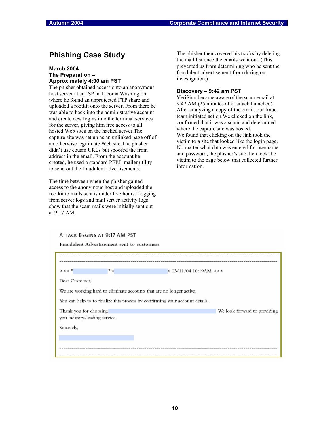### **Phishing Case Study**

### **March 2004 The Preparation – Approximately 4:00 am PST**

The phisher obtained access onto an anonymous host server at an ISP in Tacoma,Washington where he found an unprotected FTP share and uploaded a rootkit onto the server. From there he was able to hack into the administrative account and create new logins into the terminal services for the server, giving him free access to all hosted Web sites on the hacked server.The capture site was set up as an unlinked page off of an otherwise legitimate Web site.The phisher didn't use cousin URLs but spoofed the from address in the email. From the account he created, he used a standard PERL mailer utility to send out the fraudulent advertisements.

The time between when the phisher gained access to the anonymous host and uploaded the rootkit to mails sent is under five hours. Logging from server logs and mail server activity logs show that the scam mails were initially sent out at 9:17 AM.

The phisher then covered his tracks by deleting the mail list once the emails went out. (This prevented us from determining who he sent the fraudulent advertisement from during our investigation.)

### **Discovery – 9:42 am PST**

VeriSign became aware of the scam email at 9:42 AM (25 minutes after attack launched). After analyzing a copy of the email, our fraud team initiated action.We clicked on the link, confirmed that it was a scam, and determined where the capture site was hosted. We found that clicking on the link took the victim to a site that looked like the login page. No matter what data was entered for username and password, the phisher's site then took the victim to the page below that collected further information.

### ATTACK BEGINS AT 9:17 AM PST

Fraudulent Advertisement sent to customers

| >>> "                         | $\left( \begin{array}{c} 0 \\ 1 \end{array} \right)$ | > 03/11/04 10:19AM >>>                                                       |
|-------------------------------|------------------------------------------------------|------------------------------------------------------------------------------|
|                               |                                                      |                                                                              |
| Dear Customer.                |                                                      |                                                                              |
|                               |                                                      |                                                                              |
|                               |                                                      |                                                                              |
|                               |                                                      | We are working hard to eliminate accounts that are no longer active.         |
|                               |                                                      |                                                                              |
|                               |                                                      | You can help us to finalize this process by confirming your account details. |
|                               |                                                      |                                                                              |
| Thank you for choosing        |                                                      | . We look forward to providing                                               |
|                               |                                                      |                                                                              |
| you industry-leading service. |                                                      |                                                                              |
|                               |                                                      |                                                                              |
| Sincerely,                    |                                                      |                                                                              |
|                               |                                                      |                                                                              |
|                               |                                                      |                                                                              |
|                               |                                                      |                                                                              |
|                               |                                                      |                                                                              |
|                               |                                                      |                                                                              |
|                               |                                                      |                                                                              |
|                               |                                                      |                                                                              |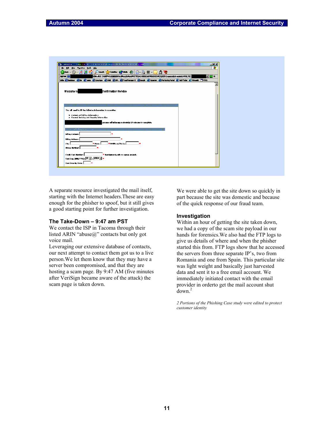

A separate resource investigated the mail itself, starting with the Internet headers.These are easy enough for the phisher to spoof, but it still gives a good starting point for further investigation.

### **The Take-Down – 9:47 am PST**

We contact the ISP in Tacoma through their listed ARIN "abuse $@$ " contacts but only got voice mail.

Leveraging our extensive database of contacts, our next attempt to contact them got us to a live person.We let them know that they may have a server been compromised, and that they are hosting a scam page. By 9:47 AM (five minutes after VeriSign became aware of the attack) the scam page is taken down.

We were able to get the site down so quickly in part because the site was domestic and because of the quick response of our fraud team.

### **Investigation**

Within an hour of getting the site taken down, we had a copy of the scam site payload in our hands for forensics.We also had the FTP logs to give us details of where and when the phisher started this from. FTP logs show that he accessed the servers from three separate IP's, two from Romania and one from Spain. This particular site was light weight and basically just harvested data and sent it to a free email account. We immediately initiated contact with the email provider in orderto get the mail account shut  $down<sup>2</sup>$ 

*2 Portions of the Phishing Case study were edited to protect customer identity*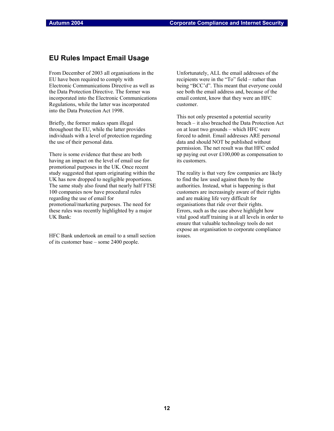### **EU Rules Impact Email Usage**

From December of 2003 all organisations in the EU have been required to comply with Electronic Communications Directive as well as the Data Protection Directive. The former was incorporated into the Electronic Communications Regulations, while the latter was incorporated into the Data Protection Act 1998.

Briefly, the former makes spam illegal throughout the EU, while the latter provides individuals with a level of protection regarding the use of their personal data.

There is some evidence that these are both having an impact on the level of email use for promotional purposes in the UK. Once recent study suggested that spam originating within the UK has now dropped to negligible proportions. The same study also found that nearly half FTSE 100 companies now have procedural rules regarding the use of email for promotional/marketing purposes. The need for these rules was recently highlighted by a major UK Bank:

HFC Bank undertook an email to a small section of its customer base – some 2400 people.

Unfortunately, ALL the email addresses of the recipients were in the "To" field – rather than being "BCC'd". This meant that everyone could see both the email address and, because of the email content, know that they were an HFC customer.

This not only presented a potential security breach – it also breached the Data Protection Act on at least two grounds – which HFC were forced to admit. Email addresses ARE personal data and should NOT be published without permission. The net result was that HFC ended up paying out over £100,000 as compensation to its customers.

The reality is that very few companies are likely to find the law used against them by the authorities. Instead, what is happening is that customers are increasingly aware of their rights and are making life very difficult for organisations that ride over their rights. Errors, such as the case above highlight how vital good staff training is at all levels in order to ensure that valuable technology tools do not expose an organisation to corporate compliance issues.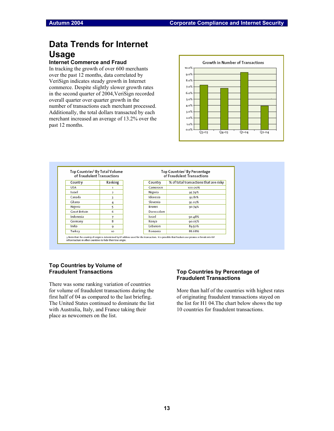# **Data Trends for Internet Usage**

### **Internet Commerce and Fraud**

In tracking the growth of over 600 merchants over the past 12 months, data correlated by VeriSign indicates steady growth in Internet commerce. Despite slightly slower growth rates in the second quarter of 2004,VeriSign recorded overall quarter over quarter growth in the number of transactions each merchant processed. Additionally, the total dollars transacted by each merchant increased an average of 13.2% over the past 12 months.





### **Top Countries by Volume of Fraudulent Transactions**

There was some ranking variation of countries for volume of fraudulent transactions during the first half of 04 as compared to the last briefing. The United States continued to dominate the list with Australia, Italy, and France taking their place as newcomers on the list.

### **Top Countries by Percentage of Fraudulent Transactions**

More than half of the countries with highest rates of originating fraudulent transactions stayed on the list for H1 04.The chart below shows the top 10 countries for fraudulent transactions.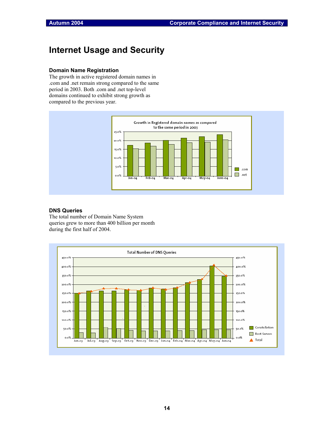# **Internet Usage and Security**

### **Domain Name Registration**

The growth in active registered domain names in .com and .net remain strong compared to the same period in 2003. Both .com and .net top-level domains continued to exhibit strong growth as compared to the previous year.



### **DNS Queries**

The total number of Domain Name System queries grew to more than 400 billion per month during the first half of 2004.

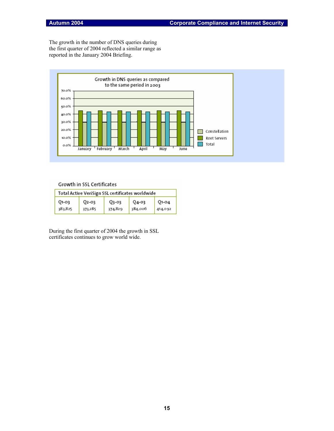The growth in the number of DNS queries during the first quarter of 2004 reflected a similar range as reported in the January 2004 Briefing.



### Growth in SSL Certificates

| Total Active VeriSign SSL certificates worldwide |         |         |         |         |  |
|--------------------------------------------------|---------|---------|---------|---------|--|
| 01-03                                            | 02-03   | Q3-03   | 04-03   | 01-04   |  |
| 383,825                                          | 373,285 | 374,829 | 384,006 | 414,092 |  |

During the first quarter of 2004 the growth in SSL certificates continues to grow world wide.